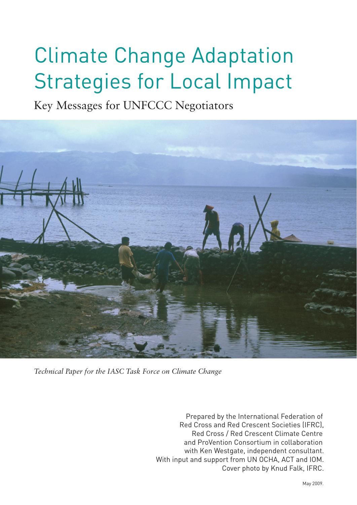## Climate Change Adaptation Strategies for Local Impact

Key Messages for UNFCCC Negotiators



*Technical Paper for the IASC Task Force on Climate Change*

Prepared by the International Federation of Red Cross and Red Crescent Societies (IFRC), Red Cross / Red Crescent Climate Centre and ProVention Consortium in collaboration with Ken Westgate, independent consultant. With input and support from UN OCHA, ACT and IOM. Cover photo by Knud Falk, IFRC.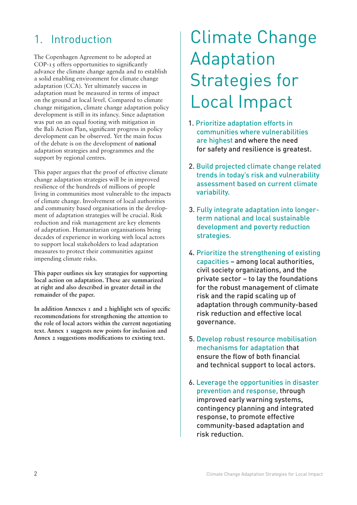### 1. Introduction

The Copenhagen Agreement to be adopted at COP-15 offers opportunities to significantly advance the climate change agenda and to establish a solid enabling environment for climate change adaptation (CCA). Yet ultimately success in adaptation must be measured in terms of impact on the ground at local level. Compared to climate change mitigation, climate change adaptation policy development is still in its infancy. Since adaptation was put on an equal footing with mitigation in the Bali Action Plan, significant progress in policy development can be observed. Yet the main focus of the debate is on the development of **national** adaptation strategies and programmes and the support by regional centres.

This paper argues that the proof of effective climate change adaptation strategies will be in improved resilience of the hundreds of millions of people living in communities most vulnerable to the impacts of climate change. Involvement of local authorities and community based organisations in the development of adaptation strategies will be crucial. Risk reduction and risk management are key elements of adaptation. Humanitarian organisations bring decades of experience in working with local actors to support local stakeholders to lead adaptation measures to protect their communities against impending climate risks.

**This paper outlines six key strategies for supporting local action on adaptation. These are summarized at right and also described in greater detail in the remainder of the paper.**

**In addition Annexes 1 and 2 highlight sets of specific recommendations for strengthening the attention to the role of local actors within the current negotiating text. Annex 1 suggests new points for inclusion and Annex 2 suggestions modifications to existing text.**

## Climate Change Adaptation Strategies for Local Impact

- 1. Prioritize adaptation efforts in communities where vulnerabilities are highest and where the need for safety and resilience is greatest.
- 2. Build projected climate change related trends in today's risk and vulnerability assessment based on current climate variability.
- 3. Fully integrate adaptation into longerterm national and local sustainable development and poverty reduction strategies.
- 4. Prioritize the strengthening of existing capacities – among local authorities, civil society organizations, and the private sector – to lay the foundations for the robust management of climate risk and the rapid scaling up of adaptation through community-based risk reduction and effective local governance.
- 5. Develop robust resource mobilisation mechanisms for adaptation that ensure the flow of both financial and technical support to local actors.
- 6. Leverage the opportunities in disaster prevention and response, through improved early warning systems, contingency planning and integrated response, to promote effective community-based adaptation and risk reduction.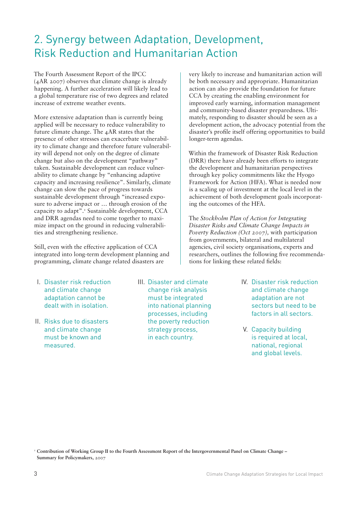### 2. Synergy between Adaptation, Development, Risk Reduction and Humanitarian Action

The Fourth Assessment Report of the IPCC (4AR 2007) observes that climate change is already happening. A further acceleration will likely lead to a global temperature rise of two degrees and related increase of extreme weather events.

More extensive adaptation than is currently being applied will be necessary to reduce vulnerability to future climate change. The 4AR states that the presence of other stresses can exacerbate vulnerability to climate change and therefore future vulnerability will depend not only on the degree of climate change but also on the development "pathway" taken. Sustainable development can reduce vulnerability to climate change by "enhancing adaptive capacity and increasing resilience". Similarly, climate change can slow the pace of progress towards sustainable development through "increased exposure to adverse impact or … through erosion of the capacity to adapt".<sup>1</sup> Sustainable development, CCA and DRR agendas need to come together to maximize impact on the ground in reducing vulnerabilities and strengthening resilience.

Still, even with the effective application of CCA integrated into long-term development planning and programming, climate change related disasters are

- I. Disaster risk reduction and climate change adaptation cannot be dealt with in isolation.
- II. Risks due to disasters and climate change must be known and measured.
- III. Disaster and climate change risk analysis must be integrated into national planning processes, including the poverty reduction strategy process, in each country.

very likely to increase and humanitarian action will be both necessary and appropriate. Humanitarian action can also provide the foundation for future CCA by creating the enabling environment for improved early warning, information management and community-based disaster preparedness. Ultimately, responding to disaster should be seen as a development action, the advocacy potential from the disaster's profile itself offering opportunities to build longer-term agendas.

Within the framework of Disaster Risk Reduction (DRR) there have already been efforts to integrate the development and humanitarian perspectives through key policy commitments like the Hyogo Framework for Action (HFA). What is needed now is a scaling up of investment at the local level in the achievement of both development goals incorporating the outcomes of the HFA.

The *Stockholm Plan of Action for Integrating Disaster Risks and Climate Change Impacts in Poverty Reduction (Oct 2007),* with participation from governments, bilateral and multilateral agencies, civil society organisations, experts and researchers, outlines the following five recommendations for linking these related fields:

- IV. Disaster risk reduction and climate change adaptation are not sectors but need to be factors in all sectors.
- V. Capacity building is required at local, national, regional and global levels.

<sup>1</sup> Contribution of Working Group II to the Fourth Assessment Report of the Intergovernmental Panel on Climate Change – **Summary for Policymakers,** 2007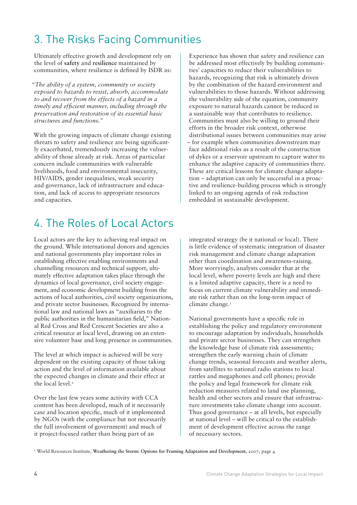## 3. The Risks Facing Communities

Ultimately effective growth and development rely on the level of **safety** and **resilience** maintained by communities, where resilience is defined by ISDR as:

*"The ability of a system, community or society exposed to hazards to resist, absorb, accommodate to and recover from the effects of a hazard in a timely and efficient manner, including through the preservation and restoration of its essential basic structures and functions."*

With the growing impacts of climate change existing threats to safety and resilience are being significantly exacerbated, tremendously increasing the vulnerability of those already at risk. Areas of particular concern include communities with vulnerable livelihoods, food and environmental insecurity, HIV/AIDS, gender inequalities, weak security and governance, lack of infrastructure and education, and lack of access to appropriate resources and capacities.

Experience has shown that safety and resilience can be addressed most effectively by building communities' capacities to reduce their vulnerabilities to hazards, recognizing that risk is ultimately driven by the combination of the hazard environment and vulnerabilities to those hazards. Without addressing the vulnerability side of the equation, community exposure to natural hazards cannot be reduced in a sustainable way that contributes to resilience. Communities must also be willing to ground their efforts in the broader risk context, otherwise distributional issues between communities may arise – for example when communities downstream may face additional risks as a result of the construction of dykes or a reservoir upstream to capture water to enhance the adaptive capacity of communities there. These are critical lessons for climate change adaptation – adaptation can only be successful in a proactive and resilience-building process which is strongly linked to an ongoing agenda of risk reduction embedded in sustainable development.

## 4. The Roles of Local Actors

Local actors are the key to achieving real impact on the ground. While international donors and agencies and national governments play important roles in establishing effective enabling environments and channelling resources and technical support, ultimately effective adaptation takes place through the dynamics of local governance, civil society engagement, and economic development building from the actions of local authorities, civil society organizations, and private sector businesses. Recognized by international law and national laws as "auxiliaries to the public authorities in the humanitarian field," National Red Cross and Red Crescent Societies are also a critical resource at local level, drawing on an extensive volunteer base and long presence in communities.

The level at which impact is achieved will be very dependent on the existing capacity of those taking action and the level of information available about the expected changes in climate and their effect at the local level.<sup>2</sup>

Over the last few years some activity with CCA content has been developed, much of it necessarily case and location specific, much of it implemented by NGOs (with the compliance but not necessarily the full involvement of government) and much of it project-focused rather than being part of an

integrated strategy (be it national or local). There is little evidence of systematic integration of disaster risk management and climate change adaptation other than coordination and awareness-raising. More worryingly, analysts consider that at the local level, where poverty levels are high and there is a limited adaptive capacity, there is a need to focus on current climate vulnerability and immediate risk rather than on the long-term impact of climate change.3

National governments have a specific role in establishing the policy and regulatory environment to encourage adaptation by individuals, households and private sector businesses. They can strengthen the knowledge base of climate risk assessments; strengthen the early warning chain of climate change trends, seasonal forecasts and weather alerts, from satellites to national radio stations to local rattles and megaphones and cell phones; provide the policy and legal framework for climate risk reduction measures related to land use planning, health and other sectors and ensure that infrastructure investments take climate change into account. Thus good governance – at all levels, but especially at national level – will be critical to the establishment of development effective across the range of necessary sectors.

2 World Resources Institute, **Weathering the Storm: Options for Framing Adaptation and Development,** 2007, page 4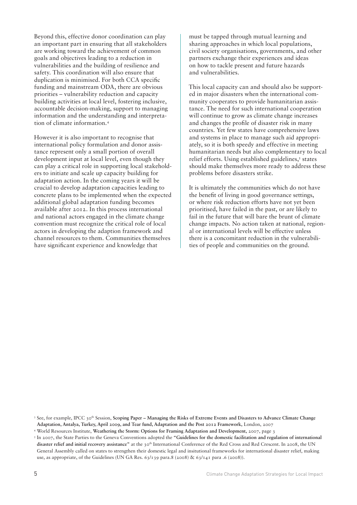Beyond this, effective donor coordination can play an important part in ensuring that all stakeholders are working toward the achievement of common goals and objectives leading to a reduction in vulnerabilities and the building of resilience and safety. This coordination will also ensure that duplication is minimised. For both CCA specific funding and mainstream ODA, there are obvious priorities – vulnerability reduction and capacity building activities at local level, fostering inclusive, accountable decision-making, support to managing information and the understanding and interpretation of climate information.4

However it is also important to recognise that international policy formulation and donor assistance represent only a small portion of overall development input at local level, even though they can play a critical role in supporting local stakeholders to initiate and scale up capacity building for adaptation action. In the coming years it will be crucial to develop adaptation capacities leading to concrete plans to be implemented when the expected additional global adaptation funding becomes available after 2012. In this process international and national actors engaged in the climate change convention must recognize the critical role of local actors in developing the adaption framework and channel resources to them. Communities themselves have significant experience and knowledge that

must be tapped through mutual learning and sharing approaches in which local populations, civil society organisations, governments, and other partners exchange their experiences and ideas on how to tackle present and future hazards and vulnerabilities.

This local capacity can and should also be supported in major disasters when the international community cooperates to provide humanitarian assistance. The need for such international cooperation will continue to grow as climate change increases and changes the profile of disaster risk in many countries. Yet few states have comprehensive laws and systems in place to manage such aid appropriately, so it is both speedy and effective in meeting humanitarian needs but also complementary to local relief efforts. Using established guidelines,<sup>5</sup> states should make themselves more ready to address these problems before disasters strike.

It is ultimately the communities which do not have the benefit of living in good governance settings, or where risk reduction efforts have not yet been prioritised, have failed in the past, or are likely to fail in the future that will bare the brunt of climate change impacts. No action taken at national, regional or international levels will be effective unless there is a concomitant reduction in the vulnerabilities of people and communities on the ground.

<sup>3</sup> See, for example, IPCC 30<sup>th</sup> Session, Scoping Paper – Managing the Risks of Extreme Events and Disasters to Advance Climate Change **Adaptation, Antalya, Turkey, April 2009, and Tear fund, Adaptation and the Post 2012 Framework,** London, 2007

<sup>4</sup> World Resources Institute, **Weathering the Storm: Options for Framing Adaptation and Development,** 2007, page 3

<sup>5</sup> In 2007, the State Parties to the Geneva Conventions adopted the **"Guidelines for the domestic facilitation and regulation of international**  disaster relief and initial recovery assistance" at the 30<sup>th</sup> International Conference of the Red Cross and Red Crescent. In 2008, the UN General Assembly called on states to strengthen their domestic legal and insitutional frameworks for international disaster relief, making use, as appropriate, of the Guidelines (UN GA Res. 63/139 para.8 (2008) & 63/141 para .6 (2008)).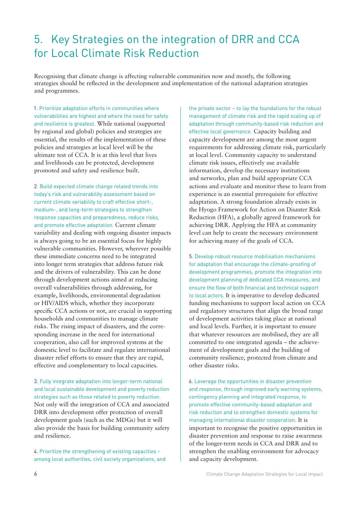### 5. Key Strategies on the integration of DRR and CCA for Local Climate Risk Reduction

Recognising that climate change is affecting vulnerable communities now and mostly, the following strategies should be reflected in the development and implementation of the national adaptation strategies and programmes.

1. Prioritize adaptation efforts in communities where vulnerabilities are highest and where the need for safety and resilience is greatest. While national (supported by regional and global) policies and strategies are essential, the results of the implementation of these policies and strategies at local level will be the ultimate test of CCA. It is at this level that lives and livelihoods can be protected, development promoted and safety and resilience built.

2. Build expected climate change related trends into today's risk and vulnerability assessment based on current climate variability to craft effective short-, medium-, and long-term strategies to strengthen response capacities and preparedness, reduce risks, and promote effective adaptation. Current climate variability and dealing with ongoing disaster impacts is always going to be an essential focus for highly vulnerable communities. However, wherever possible these immediate concerns need to be integrated into longer term strategies that address future risk and the drivers of vulnerability. This can be done through development actions aimed at reducing overall vulnerabilities through addressing, for example, livelihoods, environmental degradation or HIV/AIDS which, whether they incorporate specific CCA actions or not, are crucial in supporting households and communities to manage climate risks. The rising impact of disasters, and the corresponding increase in the need for international cooperation, also call for improved systems at the domestic level to facilitate and regulate international disaster relief efforts to ensure that they are rapid, effective and complementary to local capacities.

3. Fully integrate adaptation into longer-term national and local sustainable development and poverty reduction strategies such as those related to poverty reduction. Not only will the integration of CCA and associated DRR into development offer protection of overall development goals (such as the MDGs) but it will also provide the basis for building community safety and resilience.

4. Prioritize the strengthening of existing capacities – among local authorities, civil society organizations, and the private sector – to lay the foundations for the robust management of climate risk and the rapid scaling up of adaptation through community-based risk reduction and effective local governance. Capacity building and capacity development are among the most urgent requirements for addressing climate risk, particularly at local level. Community capacity to understand climate risk issues, effectively use available information, develop the necessary institutions and networks, plan and build appropriate CCA actions and evaluate and monitor these to learn from experience is an essential prerequisite for effective adaptation. A strong foundation already exists in the Hyogo Framework for Action on Disaster Risk Reduction (HFA), a globally agreed framework for achieving DRR. Applying the HFA at community level can help to create the necessary environment for achieving many of the goals of CCA.

5. Develop robust resource mobilisation mechanisms for adaptation that encourage the climate-proofing of development programmes, promote the integration into development planning of dedicated CCA measures, and ensure the flow of both financial and technical support to local actors. It is imperative to develop dedicated funding mechanisms to support local action on CCA and regulatory structures that align the broad range of development activities taking place at national and local levels. Further, it is important to ensure that whatever resources are mobilised, they are all committed to one integrated agenda – the achievement of development goals and the building of community resilience, protected from climate and other disaster risks.

6. Leverage the opportunities in disaster prevention and response, through improved early warning systems, contingency planning and integrated response, to promote effective community-based adaptation and risk reduction and to strengthen domestic systems for managing international disaster cooperation. It is important to recognise the positive opportunities in disaster prevention and response to raise awareness of the longer-term needs in CCA and DRR and to strengthen the enabling environment for advocacy and capacity development.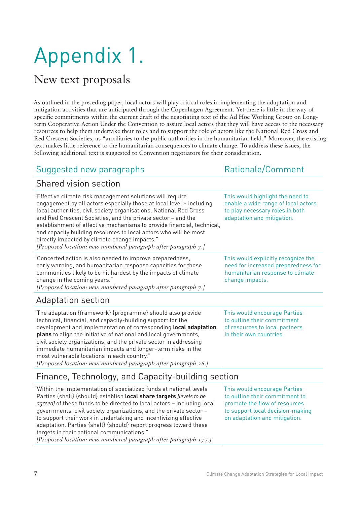# Appendix 1.

### New text proposals

As outlined in the preceding paper, local actors will play critical roles in implementing the adaptation and mitigation activities that are anticipated through the Copenhagen Agreement. Yet there is little in the way of specific commitments within the current draft of the negotiating text of the Ad Hoc Working Group on Longterm Cooperative Action Under the Convention to assure local actors that they will have access to the necessary resources to help them undertake their roles and to support the role of actors like the National Red Cross and Red Crescent Societies, as "auxiliaries to the public authorities in the humanitarian field." Moreover, the existing text makes little reference to the humanitarian consequences to climate change. To address these issues, the following additional text is suggested to Convention negotiators for their consideration.

#### Suggested new paragraphs  $\vert$  Rationale/Comment

#### Shared vision section

| Effective climate risk management solutions will require<br>engagement by all actors especially those at local level - including<br>local authorities, civil society organisations, National Red Cross<br>and Red Crescent Societies, and the private sector - and the<br>establishment of effective mechanisms to provide financial, technical,<br>and capacity building resources to local actors who will be most<br>directly impacted by climate change impacts."<br>[Proposed location: new numbered paragraph after paragraph 7.] | This would highlight the need to<br>enable a wide range of local actors<br>to play necessary roles in both<br>adaptation and mitigation. |
|-----------------------------------------------------------------------------------------------------------------------------------------------------------------------------------------------------------------------------------------------------------------------------------------------------------------------------------------------------------------------------------------------------------------------------------------------------------------------------------------------------------------------------------------|------------------------------------------------------------------------------------------------------------------------------------------|
| Concerted action is also needed to improve preparedness,<br>early warning, and humanitarian response capacities for those<br>communities likely to be hit hardest by the impacts of climate<br>change in the coming years."<br>[Proposed location: new numbered paragraph after paragraph 7.]                                                                                                                                                                                                                                           | This would explicitly recognize the<br>need for increased preparedness for<br>humanitarian response to climate<br>change impacts.        |
| Adaptation section                                                                                                                                                                                                                                                                                                                                                                                                                                                                                                                      |                                                                                                                                          |
| "The adaptation {framework} {programme} should also provide<br>technical, financial, and capacity-building support for the<br>development and implementation of corresponding local adaptation<br>plans to align the initiative of national and local governments,<br>civil society organizations, and the private sector in addressing<br>immediate humanitarian impacts and longer-term risks in the<br>most vulnerable locations in each country."<br>[Proposed location: new numbered paragraph after paragraph 26.]                | This would encourage Parties<br>to outline their commitment<br>of resources to local partners<br>in their own countries.                 |

### Finance, Technology, and Capacity-building section

| "Within the implementation of specialized funds at national levels<br>Parties {shall} {should} establish local share targets [levels to be<br>agreed] of these funds to be directed to local actors - including local<br>governments, civil society organizations, and the private sector -<br>to support their work in undertaking and incentivizing effective | This would encourage Parties<br>to outline their commitment to<br>promote the flow of resources<br>to support local decision-making<br>on adaptation and mitigation. |
|-----------------------------------------------------------------------------------------------------------------------------------------------------------------------------------------------------------------------------------------------------------------------------------------------------------------------------------------------------------------|----------------------------------------------------------------------------------------------------------------------------------------------------------------------|
| adaptation. Parties {shall} {should} report progress toward these                                                                                                                                                                                                                                                                                               |                                                                                                                                                                      |
| targets in their national communications."<br>[Proposed location: new numbered paragraph after paragraph 177.]                                                                                                                                                                                                                                                  |                                                                                                                                                                      |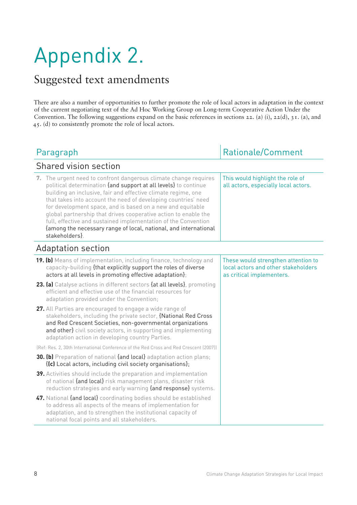## Appendix 2.

## Suggested text amendments

There are also a number of opportunities to further promote the role of local actors in adaptation in the context of the current negotiating text of the Ad Hoc Working Group on Long-term Cooperative Action Under the Convention. The following suggestions expand on the basic references in sections 22. (a) (i), 22(d), 31. (a), and 45. (d) to consistently promote the role of local actors.

| <b>Rationale/Comment</b><br>Paragraph                                                                                                                                                                                                                                                                                                                                                                                                                                                                                                                          |                                                                                                         |
|----------------------------------------------------------------------------------------------------------------------------------------------------------------------------------------------------------------------------------------------------------------------------------------------------------------------------------------------------------------------------------------------------------------------------------------------------------------------------------------------------------------------------------------------------------------|---------------------------------------------------------------------------------------------------------|
| Shared vision section                                                                                                                                                                                                                                                                                                                                                                                                                                                                                                                                          |                                                                                                         |
| 7. The urgent need to confront dangerous climate change requires<br>political determination {and support at all levels} to continue<br>building an inclusive, fair and effective climate regime, one<br>that takes into account the need of developing countries' need<br>for development space, and is based on a new and equitable<br>global partnership that drives cooperative action to enable the<br>full, effective and sustained implementation of the Convention<br>{among the necessary range of local, national, and international<br>stakeholders} | This would highlight the role of<br>all actors, especially local actors.                                |
| Adaptation section                                                                                                                                                                                                                                                                                                                                                                                                                                                                                                                                             |                                                                                                         |
| <b>19. (b)</b> Means of implementation, including finance, technology and<br>capacity-building {that explicitly support the roles of diverse<br>actors at all levels in promoting effective adaptation};                                                                                                                                                                                                                                                                                                                                                       | These would strengthen attention to<br>local actors and other stakeholders<br>as critical implementers. |
| 23. (a) Catalyse actions in different sectors {at all levels}, promoting<br>efficient and effective use of the financial resources for<br>adaptation provided under the Convention;                                                                                                                                                                                                                                                                                                                                                                            |                                                                                                         |
| 27. All Parties are encouraged to engage a wide range of<br>stakeholders, including the private sector, {National Red Cross<br>and Red Crescent Societies, non-governmental organizations<br>and other} civil society actors, in supporting and implementing<br>adaptation action in developing country Parties.                                                                                                                                                                                                                                               |                                                                                                         |
| (Ref: Res. 2, 30th International Conference of the Red Cross and Red Crescent (2007))                                                                                                                                                                                                                                                                                                                                                                                                                                                                          |                                                                                                         |
| <b>30. (b)</b> Preparation of national {and local} adaptation action plans;<br>{(c) Local actors, including civil society organisations};                                                                                                                                                                                                                                                                                                                                                                                                                      |                                                                                                         |
| 39. Activities should include the preparation and implementation<br>of national {and local} risk management plans, disaster risk<br>reduction strategies and early warning {and response} systems.                                                                                                                                                                                                                                                                                                                                                             |                                                                                                         |
| 47. National {and local} coordinating bodies should be established<br>to address all aspects of the means of implementation for<br>adaptation, and to strengthen the institutional capacity of<br>national focal points and all stakeholders.                                                                                                                                                                                                                                                                                                                  |                                                                                                         |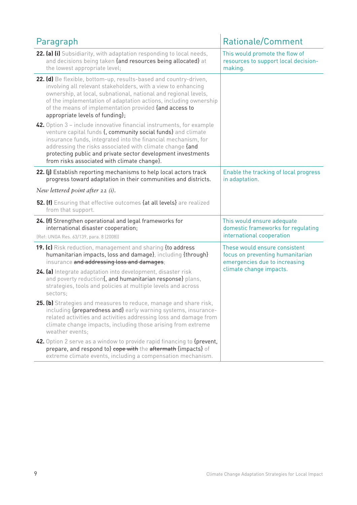| Paragraph                                                                                                                                                                                                                                                                                                                                                                        | <b>Rationale/Comment</b>                                                                                                      |  |
|----------------------------------------------------------------------------------------------------------------------------------------------------------------------------------------------------------------------------------------------------------------------------------------------------------------------------------------------------------------------------------|-------------------------------------------------------------------------------------------------------------------------------|--|
| 22. (a) (i) Subsidiarity, with adaptation responding to local needs,<br>and decisions being taken {and resources being allocated} at<br>the lowest appropriate level;                                                                                                                                                                                                            | This would promote the flow of<br>resources to support local decision-<br>making.                                             |  |
| 22. (d) Be flexible, bottom-up, results-based and country-driven,<br>involving all relevant stakeholders, with a view to enhancing<br>ownership, at local, subnational, national and regional levels,<br>of the implementation of adaptation actions, including ownership<br>of the means of implementation provided {and access to<br>appropriate levels of funding};           |                                                                                                                               |  |
| 42. Option 3 – include innovative financial instruments, for example<br>venture capital funds {, community social funds} and climate<br>insurance funds, integrated into the financial mechanism, for<br>addressing the risks associated with climate change {and<br>protecting public and private sector development investments<br>from risks associated with climate change}. |                                                                                                                               |  |
| 22. (j) Establish reporting mechanisms to help local actors track<br>progress toward adaptation in their communities and districts.                                                                                                                                                                                                                                              | Enable the tracking of local progress<br>in adaptation.                                                                       |  |
| New lettered point after 22 $(i)$ .                                                                                                                                                                                                                                                                                                                                              |                                                                                                                               |  |
| 52. (f) Ensuring that effective outcomes {at all levels} are realized<br>from that support.                                                                                                                                                                                                                                                                                      |                                                                                                                               |  |
| 24. (f) Strengthen operational and legal frameworks for<br>international disaster cooperation;<br>(Ref: UNGA Res. 63/139, para. 8 (2008))                                                                                                                                                                                                                                        | This would ensure adequate<br>domestic frameworks for regulating<br>international cooperation                                 |  |
| 19. (c) Risk reduction, management and sharing {to address<br>humanitarian impacts, loss and damage}, including {through}<br>insurance and addressing loss and damages;                                                                                                                                                                                                          | These would ensure consistent<br>focus on preventing humanitarian<br>emergencies due to increasing<br>climate change impacts. |  |
| 24. (a) Integrate adaptation into development, disaster risk<br>and poverty reduction{, and humanitarian response} plans,<br>strategies, tools and policies at multiple levels and across<br>sectors;                                                                                                                                                                            |                                                                                                                               |  |
| 25. (b) Strategies and measures to reduce, manage and share risk,<br>including {preparedness and} early warning systems, insurance-<br>related activities and activities addressing loss and damage from<br>climate change impacts, including those arising from extreme<br>weather events;                                                                                      |                                                                                                                               |  |
| 42. Option 2 serve as a window to provide rapid financing to {prevent,<br>prepare, and respond to} cope with the aftermath {impacts} of<br>extreme climate events, including a compensation mechanism.                                                                                                                                                                           |                                                                                                                               |  |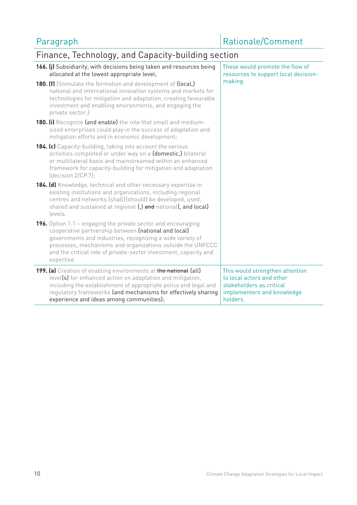## Finance, Technology, and Capacity-building section

| 166. (j) Subsidiarity, with decisions being taken and resources being<br>allocated at the lowest appropriate level;                                                                                                                                                                                                                       | These would promote the flow of<br>resources to support local decision-                                                            |
|-------------------------------------------------------------------------------------------------------------------------------------------------------------------------------------------------------------------------------------------------------------------------------------------------------------------------------------------|------------------------------------------------------------------------------------------------------------------------------------|
| <b>180. (f)</b> {Stimulate the formation and development of {local,}<br>national and international innovation systems and markets for<br>technologies for mitigation and adaptation, creating favourable<br>investment and enabling environments, and engaging the<br>private sector;}                                                    | making.                                                                                                                            |
| <b>180. (i)</b> Recognize {and enable} the role that small and medium-<br>sized enterprises could play in the success of adaptation and<br>mitigation efforts and in economic development;                                                                                                                                                |                                                                                                                                    |
| <b>184. (c)</b> Capacity-building, taking into account the various<br>activities completed or under way on a {domestic,} bilateral<br>or multilateral basis and mainstreamed within an enhanced<br>framework for capacity-building for mitigation and adaptation<br>$\left($ decision 2/CP.7);                                            |                                                                                                                                    |
| 184. (d) Knowledge, technical and other necessary expertise in<br>existing institutions and organizations, including regional<br>centres and networks {shall}{should} be developed, used,<br>shared and sustained at regional {,} and national{, and local}<br>levels.                                                                    |                                                                                                                                    |
| <b>196.</b> Option 1.1 – engaging the private sector and encouraging<br>cooperative partnership between {national and local}<br>governments and industries, recognizing a wide variety of<br>processes, mechanisms and organizations outside the UNFCCC<br>and the critical role of private-sector investment, capacity and<br>expertise. |                                                                                                                                    |
| 199. (a) Creation of enabling environments at the national {all}<br>level{s} for enhanced action on adaptation and mitigation,<br>including the establishment of appropriate policy and legal and<br>regulatory frameworks {and mechanisms for effectively sharing<br>experience and ideas among communities};                            | This would strengthen attention<br>to local actors and other<br>stakeholders as critical<br>implementers and knowledge<br>holders. |